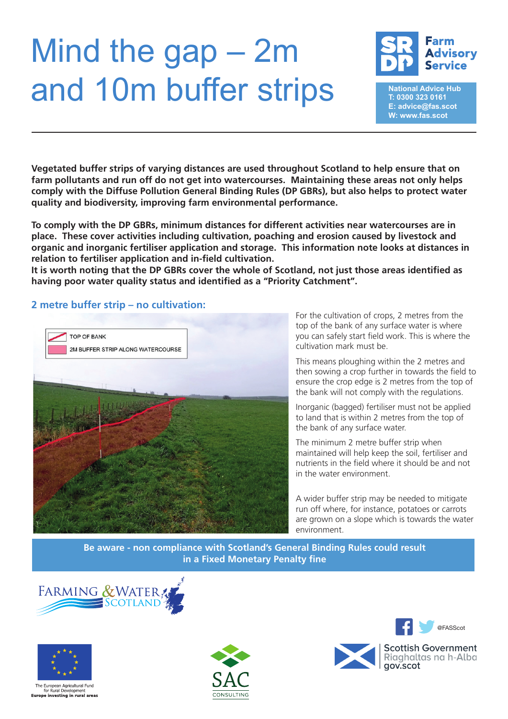## Mind the gap – 2m and 10m buffer strips



**National Advice Hub T: 0300 323 0161 E: advice@fas.scot W: www.fas.scot**

**Vegetated buffer strips of varying distances are used throughout Scotland to help ensure that on farm pollutants and run off do not get into watercourses. Maintaining these areas not only helps comply with the Diffuse Pollution General Binding Rules (DP GBRs), but also helps to protect water quality and biodiversity, improving farm environmental performance.** 

**To comply with the DP GBRs, minimum distances for different activities near watercourses are in place. These cover activities including cultivation, poaching and erosion caused by livestock and organic and inorganic fertiliser application and storage. This information note looks at distances in relation to fertiliser application and in-field cultivation.** 

**It is worth noting that the DP GBRs cover the whole of Scotland, not just those areas identified as having poor water quality status and identified as a "Priority Catchment".** 

## **2 metre buffer strip – no cultivation:**



For the cultivation of crops, 2 metres from the top of the bank of any surface water is where you can safely start field work. This is where the cultivation mark must be.

This means ploughing within the 2 metres and then sowing a crop further in towards the field to ensure the crop edge is 2 metres from the top of the bank will not comply with the regulations.

Inorganic (bagged) fertiliser must not be applied to land that is within 2 metres from the top of the bank of any surface water.

The minimum 2 metre buffer strip when maintained will help keep the soil, fertiliser and nutrients in the field where it should be and not in the water environment.

A wider buffer strip may be needed to mitigate run off where, for instance, potatoes or carrots are grown on a slope which is towards the water environment.

**Be aware - non compliance with Scotland's General Binding Rules could result in a Fixed Monetary Penalty fine**